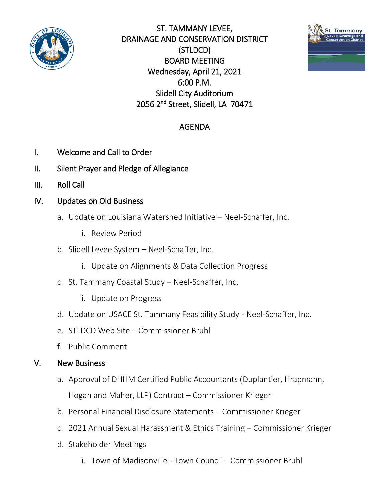

ST. TAMMANY LEVEE, DRAINAGE AND CONSERVATION DISTRICT (STLDCD) BOARD MEETING Wednesday, April 21, 2021 6:00 P.M. Slidell City Auditorium 2056 2nd Street, Slidell, LA 70471



## AGENDA

- I. Welcome and Call to Order
- II. Silent Prayer and Pledge of Allegiance
- III. Roll Call
- IV. Updates on Old Business
	- a. Update on Louisiana Watershed Initiative Neel-Schaffer, Inc.
		- i. Review Period
	- b. Slidell Levee System Neel-Schaffer, Inc.
		- i. Update on Alignments & Data Collection Progress
	- c. St. Tammany Coastal Study Neel-Schaffer, Inc.
		- i. Update on Progress
	- d. Update on USACE St. Tammany Feasibility Study Neel-Schaffer, Inc.
	- e. STLDCD Web Site Commissioner Bruhl
	- f. Public Comment

## V. New Business

- a. Approval of DHHM Certified Public Accountants (Duplantier, Hrapmann, Hogan and Maher, LLP) Contract – Commissioner Krieger
- b. Personal Financial Disclosure Statements Commissioner Krieger
- c. 2021 Annual Sexual Harassment & Ethics Training Commissioner Krieger
- d. Stakeholder Meetings
	- i. Town of Madisonville Town Council Commissioner Bruhl